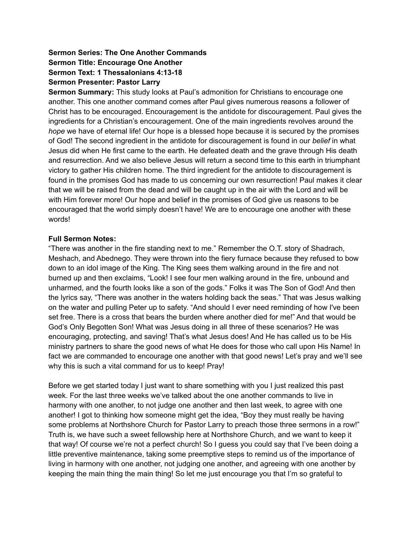# **Sermon Series: The One Another Commands Sermon Title: Encourage One Another Sermon Text: 1 Thessalonians 4:13-18 Sermon Presenter: Pastor Larry**

**Sermon Summary:** This study looks at Paul's admonition for Christians to encourage one another. This one another command comes after Paul gives numerous reasons a follower of Christ has to be encouraged. Encouragement is the antidote for discouragement. Paul gives the ingredients for a Christian's encouragement. One of the main ingredients revolves around the *hope* we have of eternal life! Our hope is a blessed hope because it is secured by the promises of God! The second ingredient in the antidote for discouragement is found in our *belief* in what Jesus did when He first came to the earth. He defeated death and the grave through His death and resurrection. And we also believe Jesus will return a second time to this earth in triumphant victory to gather His children home. The third ingredient for the antidote to discouragement is found in the promises God has made to us concerning our own resurrection! Paul makes it clear that we will be raised from the dead and will be caught up in the air with the Lord and will be with Him forever more! Our hope and belief in the promises of God give us reasons to be encouraged that the world simply doesn't have! We are to encourage one another with these words!

## **Full Sermon Notes:**

"There was another in the fire standing next to me." Remember the O.T. story of Shadrach, Meshach, and Abednego. They were thrown into the fiery furnace because they refused to bow down to an idol image of the King. The King sees them walking around in the fire and not burned up and then exclaims, "Look! I see four men walking around in the fire, unbound and unharmed, and the fourth looks like a son of the gods." Folks it was The Son of God! And then the lyrics say, "There was another in the waters holding back the seas." That was Jesus walking on the water and pulling Peter up to safety. "And should I ever need reminding of how I've been set free. There is a cross that bears the burden where another died for me!" And that would be God's Only Begotten Son! What was Jesus doing in all three of these scenarios? He was encouraging, protecting, and saving! That's what Jesus does! And He has called us to be His ministry partners to share the good news of what He does for those who call upon His Name! In fact we are commanded to encourage one another with that good news! Let's pray and we'll see why this is such a vital command for us to keep! Pray!

Before we get started today I just want to share something with you I just realized this past week. For the last three weeks we've talked about the one another commands to live in harmony with one another, to not judge one another and then last week, to agree with one another! I got to thinking how someone might get the idea, "Boy they must really be having some problems at Northshore Church for Pastor Larry to preach those three sermons in a row!" Truth is, we have such a sweet fellowship here at Northshore Church, and we want to keep it that way! Of course we're not a perfect church! So I guess you could say that I've been doing a little preventive maintenance, taking some preemptive steps to remind us of the importance of living in harmony with one another, not judging one another, and agreeing with one another by keeping the main thing the main thing! So let me just encourage you that I'm so grateful to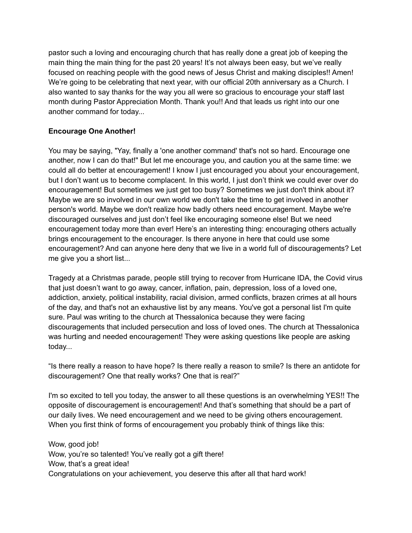pastor such a loving and encouraging church that has really done a great job of keeping the main thing the main thing for the past 20 years! It's not always been easy, but we've really focused on reaching people with the good news of Jesus Christ and making disciples!! Amen! We're going to be celebrating that next year, with our official 20th anniversary as a Church. I also wanted to say thanks for the way you all were so gracious to encourage your staff last month during Pastor Appreciation Month. Thank you!! And that leads us right into our one another command for today...

# **Encourage One Another!**

You may be saying, "Yay, finally a 'one another command' that's not so hard. Encourage one another, now I can do that!" But let me encourage you, and caution you at the same time: we could all do better at encouragement! I know I just encouraged you about your encouragement, but I don't want us to become complacent. In this world, I just don't think we could ever over do encouragement! But sometimes we just get too busy? Sometimes we just don't think about it? Maybe we are so involved in our own world we don't take the time to get involved in another person's world. Maybe we don't realize how badly others need encouragement. Maybe we're discouraged ourselves and just don't feel like encouraging someone else! But we need encouragement today more than ever! Here's an interesting thing: encouraging others actually brings encouragement to the encourager. Is there anyone in here that could use some encouragement? And can anyone here deny that we live in a world full of discouragements? Let me give you a short list...

Tragedy at a Christmas parade, people still trying to recover from Hurricane IDA, the Covid virus that just doesn't want to go away, cancer, inflation, pain, depression, loss of a loved one, addiction, anxiety, political instability, racial division, armed conflicts, brazen crimes at all hours of the day, and that's not an exhaustive list by any means. You've got a personal list I'm quite sure. Paul was writing to the church at Thessalonica because they were facing discouragements that included persecution and loss of loved ones. The church at Thessalonica was hurting and needed encouragement! They were asking questions like people are asking today...

"Is there really a reason to have hope? Is there really a reason to smile? Is there an antidote for discouragement? One that really works? One that is real?"

I'm so excited to tell you today, the answer to all these questions is an overwhelming YES!! The opposite of discouragement is encouragement! And that's something that should be a part of our daily lives. We need encouragement and we need to be giving others encouragement. When you first think of forms of encouragement you probably think of things like this:

Wow, good job! Wow, you're so talented! You've really got a gift there! Wow, that's a great idea! Congratulations on your achievement, you deserve this after all that hard work!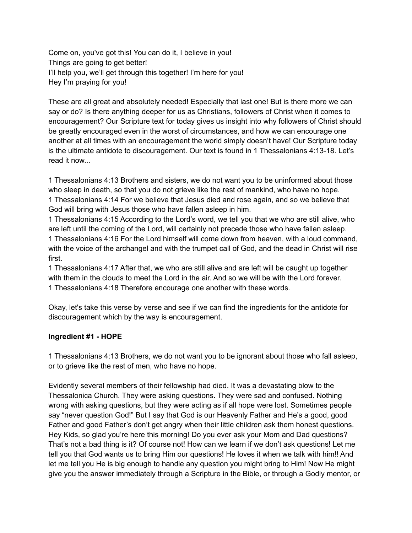Come on, you've got this! You can do it, I believe in you! Things are going to get better! I'll help you, we'll get through this together! I'm here for you! Hey I'm praying for you!

These are all great and absolutely needed! Especially that last one! But is there more we can say or do? Is there anything deeper for us as Christians, followers of Christ when it comes to encouragement? Our Scripture text for today gives us insight into why followers of Christ should be greatly encouraged even in the worst of circumstances, and how we can encourage one another at all times with an encouragement the world simply doesn't have! Our Scripture today is the ultimate antidote to discouragement. Our text is found in 1 Thessalonians 4:13-18. Let's read it now...

1 Thessalonians 4:13 Brothers and sisters, we do not want you to be uninformed about those who sleep in death, so that you do not grieve like the rest of mankind, who have no hope. 1 Thessalonians 4:14 For we believe that Jesus died and rose again, and so we believe that God will bring with Jesus those who have fallen asleep in him.

1 Thessalonians 4:15 According to the Lord's word, we tell you that we who are still alive, who are left until the coming of the Lord, will certainly not precede those who have fallen asleep. 1 Thessalonians 4:16 For the Lord himself will come down from heaven, with a loud command, with the voice of the archangel and with the trumpet call of God, and the dead in Christ will rise first.

1 Thessalonians 4:17 After that, we who are still alive and are left will be caught up together with them in the clouds to meet the Lord in the air. And so we will be with the Lord forever. 1 Thessalonians 4:18 Therefore encourage one another with these words.

Okay, let's take this verse by verse and see if we can find the ingredients for the antidote for discouragement which by the way is encouragement.

#### **Ingredient #1 - HOPE**

1 Thessalonians 4:13 Brothers, we do not want you to be ignorant about those who fall asleep, or to grieve like the rest of men, who have no hope.

Evidently several members of their fellowship had died. It was a devastating blow to the Thessalonica Church. They were asking questions. They were sad and confused. Nothing wrong with asking questions, but they were acting as if all hope were lost. Sometimes people say "never question God!" But I say that God is our Heavenly Father and He's a good, good Father and good Father's don't get angry when their little children ask them honest questions. Hey Kids, so glad you're here this morning! Do you ever ask your Mom and Dad questions? That's not a bad thing is it? Of course not! How can we learn if we don't ask questions! Let me tell you that God wants us to bring Him our questions! He loves it when we talk with him!! And let me tell you He is big enough to handle any question you might bring to Him! Now He might give you the answer immediately through a Scripture in the Bible, or through a Godly mentor, or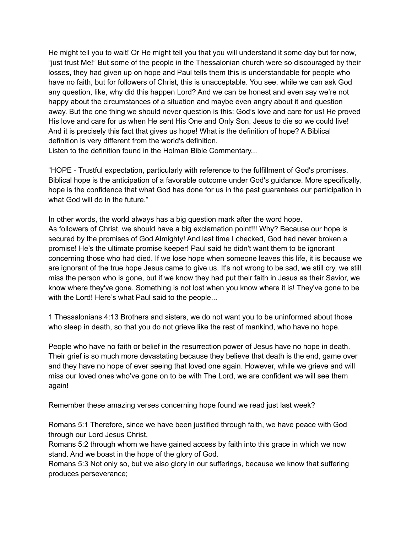He might tell you to wait! Or He might tell you that you will understand it some day but for now, "just trust Me!" But some of the people in the Thessalonian church were so discouraged by their losses, they had given up on hope and Paul tells them this is understandable for people who have no faith, but for followers of Christ, this is unacceptable. You see, while we can ask God any question, like, why did this happen Lord? And we can be honest and even say we're not happy about the circumstances of a situation and maybe even angry about it and question away. But the one thing we should never question is this: God's love and care for us! He proved His love and care for us when He sent His One and Only Son, Jesus to die so we could live! And it is precisely this fact that gives us hope! What is the definition of hope? A Biblical definition is very different from the world's definition.

Listen to the definition found in the Holman Bible Commentary...

"HOPE - Trustful expectation, particularly with reference to the fulfillment of God's promises. Biblical hope is the anticipation of a favorable outcome under God's guidance. More specifically, hope is the confidence that what God has done for us in the past guarantees our participation in what God will do in the future."

In other words, the world always has a big question mark after the word hope. As followers of Christ, we should have a big exclamation point!!! Why? Because our hope is secured by the promises of God Almighty! And last time I checked, God had never broken a promise! He's the ultimate promise keeper! Paul said he didn't want them to be ignorant concerning those who had died. If we lose hope when someone leaves this life, it is because we are ignorant of the true hope Jesus came to give us. It's not wrong to be sad, we still cry, we still miss the person who is gone, but if we know they had put their faith in Jesus as their Savior, we know where they've gone. Something is not lost when you know where it is! They've gone to be with the Lord! Here's what Paul said to the people...

1 Thessalonians 4:13 Brothers and sisters, we do not want you to be uninformed about those who sleep in death, so that you do not grieve like the rest of mankind, who have no hope.

People who have no faith or belief in the resurrection power of Jesus have no hope in death. Their grief is so much more devastating because they believe that death is the end, game over and they have no hope of ever seeing that loved one again. However, while we grieve and will miss our loved ones who've gone on to be with The Lord, we are confident we will see them again!

Remember these amazing verses concerning hope found we read just last week?

Romans 5:1 Therefore, since we have been justified through faith, we have peace with God through our Lord Jesus Christ,

Romans 5:2 through whom we have gained access by faith into this grace in which we now stand. And we boast in the hope of the glory of God.

Romans 5:3 Not only so, but we also glory in our sufferings, because we know that suffering produces perseverance;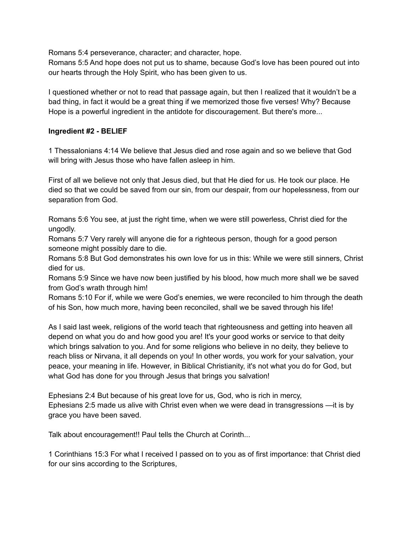Romans 5:4 perseverance, character; and character, hope.

Romans 5:5 And hope does not put us to shame, because God's love has been poured out into our hearts through the Holy Spirit, who has been given to us.

I questioned whether or not to read that passage again, but then I realized that it wouldn't be a bad thing, in fact it would be a great thing if we memorized those five verses! Why? Because Hope is a powerful ingredient in the antidote for discouragement. But there's more...

#### **Ingredient #2 - BELIEF**

1 Thessalonians 4:14 We believe that Jesus died and rose again and so we believe that God will bring with Jesus those who have fallen asleep in him.

First of all we believe not only that Jesus died, but that He died for us. He took our place. He died so that we could be saved from our sin, from our despair, from our hopelessness, from our separation from God.

Romans 5:6 You see, at just the right time, when we were still powerless, Christ died for the ungodly.

Romans 5:7 Very rarely will anyone die for a righteous person, though for a good person someone might possibly dare to die.

Romans 5:8 But God demonstrates his own love for us in this: While we were still sinners, Christ died for us.

Romans 5:9 Since we have now been justified by his blood, how much more shall we be saved from God's wrath through him!

Romans 5:10 For if, while we were God's enemies, we were reconciled to him through the death of his Son, how much more, having been reconciled, shall we be saved through his life!

As I said last week, religions of the world teach that righteousness and getting into heaven all depend on what you do and how good you are! It's your good works or service to that deity which brings salvation to you. And for some religions who believe in no deity, they believe to reach bliss or Nirvana, it all depends on you! In other words, you work for your salvation, your peace, your meaning in life. However, in Biblical Christianity, it's not what you do for God, but what God has done for you through Jesus that brings you salvation!

Ephesians 2:4 But because of his great love for us, God, who is rich in mercy, Ephesians 2:5 made us alive with Christ even when we were dead in transgressions —it is by grace you have been saved.

Talk about encouragement!! Paul tells the Church at Corinth...

1 Corinthians 15:3 For what I received I passed on to you as of first importance: that Christ died for our sins according to the Scriptures,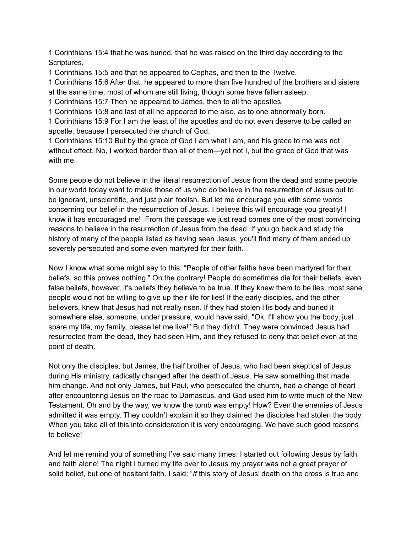1 Corinthians 15:4 that he was buried, that he was raised on the third day according to the Scriptures,

1 Corinthians 15:5 and that he appeared to Cephas, and then to the Twelve.

1 Corinthians 15:6 After that, he appeared to more than five hundred of the brothers and sisters at the same time, most of whom are still living, though some have fallen asleep.

1 Corinthians 15:7 Then he appeared to James, then to all the apostles,

1 Corinthians 15:8 and last of all he appeared to me also, as to one abnormally born.

1 Corinthians 15:9 For I am the least of the apostles and do not even deserve to be called an apostle, because I persecuted the church of God.

1 Corinthians 15:10 But by the grace of God I am what I am, and his grace to me was not without effect. No, I worked harder than all of them—yet not I, but the grace of God that was with me.

Some people do not believe in the literal resurrection of Jesus from the dead and some people in our world today want to make those of us who do believe in the resurrection of Jesus out to be ignorant, unscientific, and just plain foolish. But let me encourage you with some words concerning our belief in the resurrection of Jesus. I believe this will encourage you greatly! I know it has encouraged me! From the passage we just read comes one of the most convincing reasons to believe in the resurrection of Jesus from the dead. If you go back and study the history of many of the people listed as having seen Jesus, you'll find many of them ended up severely persecuted and some even martyred for their faith.

Now I know what some might say to this: "People of other faiths have been martyred for their beliefs, so this proves nothing." On the contrary! People do sometimes die for their beliefs, even false beliefs, however, it's beliefs they believe to be true. If they knew them to be lies, most sane people would not be willing to give up their life for lies! If the early disciples, and the other believers, knew that Jesus had not really risen. If they had stolen His body and buried it somewhere else, someone, under pressure, would have said, "Ok, I'll show you the body, just spare my life, my family, please let me live!" But they didn't. They were convinced Jesus had resurrected from the dead, they had seen Him, and they refused to deny that belief even at the point of death.

Not only the disciples, but James, the half brother of Jesus, who had been skeptical of Jesus during His ministry, radically changed after the death of Jesus. He saw something that made him change. And not only James, but Paul, who persecuted the church, had a change of heart after encountering Jesus on the road to Damascus, and God used him to write much of the New Testament. Oh and by the way, we know the tomb was empty! How? Even the enemies of Jesus admitted it was empty. They couldn't explain it so they claimed the disciples had stolen the body. When you take all of this into consideration it is very encouraging. We have such good reasons to believe!

And let me remind you of something I've said many times: I started out following Jesus by faith and faith alone! The night I turned my life over to Jesus my prayer was not a great prayer of solid belief, but one of hesitant faith. I said: "*If* this story of Jesus' death on the cross is true and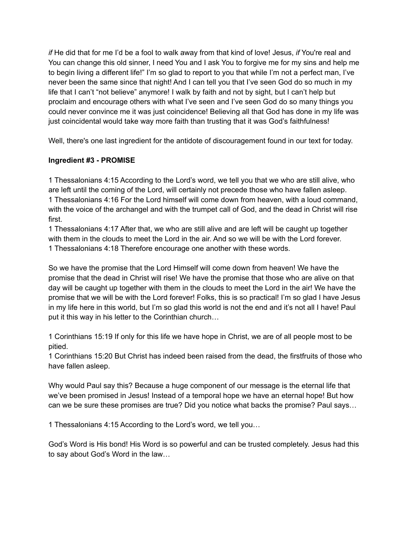*if* He did that for me I'd be a fool to walk away from that kind of love! Jesus, *if* You're real and You can change this old sinner, I need You and I ask You to forgive me for my sins and help me to begin living a different life!" I'm so glad to report to you that while I'm not a perfect man, I've never been the same since that night! And I can tell you that I've seen God do so much in my life that I can't "not believe" anymore! I walk by faith and not by sight, but I can't help but proclaim and encourage others with what I've seen and I've seen God do so many things you could never convince me it was just coincidence! Believing all that God has done in my life was just coincidental would take way more faith than trusting that it was God's faithfulness!

Well, there's one last ingredient for the antidote of discouragement found in our text for today.

## **Ingredient #3 - PROMISE**

1 Thessalonians 4:15 According to the Lord's word, we tell you that we who are still alive, who are left until the coming of the Lord, will certainly not precede those who have fallen asleep. 1 Thessalonians 4:16 For the Lord himself will come down from heaven, with a loud command, with the voice of the archangel and with the trumpet call of God, and the dead in Christ will rise first.

1 Thessalonians 4:17 After that, we who are still alive and are left will be caught up together with them in the clouds to meet the Lord in the air. And so we will be with the Lord forever. 1 Thessalonians 4:18 Therefore encourage one another with these words.

So we have the promise that the Lord Himself will come down from heaven! We have the promise that the dead in Christ will rise! We have the promise that those who are alive on that day will be caught up together with them in the clouds to meet the Lord in the air! We have the promise that we will be with the Lord forever! Folks, this is so practical! I'm so glad I have Jesus in my life here in this world, but I'm so glad this world is not the end and it's not all I have! Paul put it this way in his letter to the Corinthian church…

1 Corinthians 15:19 If only for this life we have hope in Christ, we are of all people most to be pitied.

1 Corinthians 15:20 But Christ has indeed been raised from the dead, the firstfruits of those who have fallen asleep.

Why would Paul say this? Because a huge component of our message is the eternal life that we've been promised in Jesus! Instead of a temporal hope we have an eternal hope! But how can we be sure these promises are true? Did you notice what backs the promise? Paul says…

1 Thessalonians 4:15 According to the Lord's word, we tell you…

God's Word is His bond! His Word is so powerful and can be trusted completely. Jesus had this to say about God's Word in the law…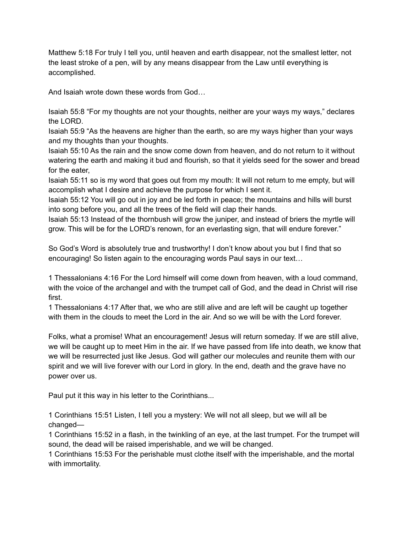Matthew 5:18 For truly I tell you, until heaven and earth disappear, not the smallest letter, not the least stroke of a pen, will by any means disappear from the Law until everything is accomplished.

And Isaiah wrote down these words from God…

Isaiah 55:8 "For my thoughts are not your thoughts, neither are your ways my ways," declares the LORD.

Isaiah 55:9 "As the heavens are higher than the earth, so are my ways higher than your ways and my thoughts than your thoughts.

Isaiah 55:10 As the rain and the snow come down from heaven, and do not return to it without watering the earth and making it bud and flourish, so that it yields seed for the sower and bread for the eater,

Isaiah 55:11 so is my word that goes out from my mouth: It will not return to me empty, but will accomplish what I desire and achieve the purpose for which I sent it.

Isaiah 55:12 You will go out in joy and be led forth in peace; the mountains and hills will burst into song before you, and all the trees of the field will clap their hands.

Isaiah 55:13 Instead of the thornbush will grow the juniper, and instead of briers the myrtle will grow. This will be for the LORD's renown, for an everlasting sign, that will endure forever."

So God's Word is absolutely true and trustworthy! I don't know about you but I find that so encouraging! So listen again to the encouraging words Paul says in our text…

1 Thessalonians 4:16 For the Lord himself will come down from heaven, with a loud command, with the voice of the archangel and with the trumpet call of God, and the dead in Christ will rise first.

1 Thessalonians 4:17 After that, we who are still alive and are left will be caught up together with them in the clouds to meet the Lord in the air. And so we will be with the Lord forever.

Folks, what a promise! What an encouragement! Jesus will return someday. If we are still alive, we will be caught up to meet Him in the air. If we have passed from life into death, we know that we will be resurrected just like Jesus. God will gather our molecules and reunite them with our spirit and we will live forever with our Lord in glory. In the end, death and the grave have no power over us.

Paul put it this way in his letter to the Corinthians...

1 Corinthians 15:51 Listen, I tell you a mystery: We will not all sleep, but we will all be changed—

1 Corinthians 15:52 in a flash, in the twinkling of an eye, at the last trumpet. For the trumpet will sound, the dead will be raised imperishable, and we will be changed.

1 Corinthians 15:53 For the perishable must clothe itself with the imperishable, and the mortal with immortality.